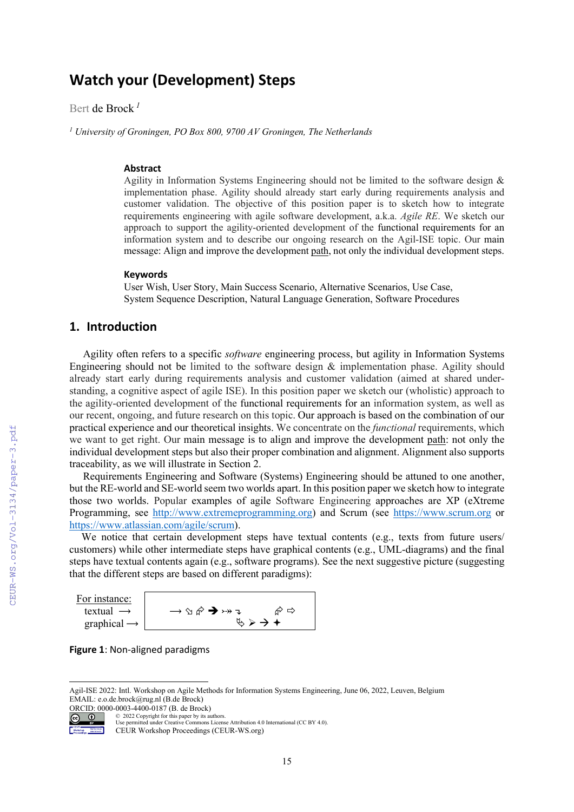# **Watch your (Development) Steps**

Bert de Brock *<sup>1</sup>*

*<sup>1</sup> University of Groningen, PO Box 800, 9700 AV Groningen, The Netherlands*

#### **Abstract**

Agility in Information Systems Engineering should not be limited to the software design & implementation phase. Agility should already start early during requirements analysis and customer validation. The objective of this position paper is to sketch how to integrate requirements engineering with agile software development, a.k.a. *Agile RE*. We sketch our approach to support the agility-oriented development of the functional requirements for an information system and to describe our ongoing research on the Agil-ISE topic. Our main message: Align and improve the development path, not only the individual development steps.

#### **Keywords**

User Wish, User Story, Main Success Scenario, Alternative Scenarios, Use Case, System Sequence Description, Natural Language Generation, Software Procedures

### **1. Introduction**

Agility often refers to a specific *software* engineering process, but agility in Information Systems Engineering should not be limited to the software design  $\&$  implementation phase. Agility should already start early during requirements analysis and customer validation (aimed at shared understanding, a cognitive aspect of agile ISE). In this position paper we sketch our (wholistic) approach to the agility-oriented development of the functional requirements for an information system, as well as our recent, ongoing, and future research on this topic. Our approach is based on the combination of our practical experience and our theoretical insights. We concentrate on the *functional* requirements, which we want to get right. Our main message is to align and improve the development path: not only the individual development steps but also their proper combination and alignment. Alignment also supports traceability, as we will illustrate in Section 2.

Requirements Engineering and Software (Systems) Engineering should be attuned to one another, but the RE-world and SE-world seem two worlds apart. In this position paper we sketch how to integrate those two worlds. Popular examples of agile Software Engineering approaches are XP (eXtreme Programming, see [http://www.extremeprogramming.org\)](http://www.extremeprogramming.org/) and Scrum (see [https://www.scrum.org](https://www.scrum.org/) or [https://www.atlassian.com/agile/scrum\)](https://www.atlassian.com/agile/scrum).

 We notice that certain development steps have textual contents (e.g., texts from future users/ customers) while other intermediate steps have graphical contents (e.g., UML-diagrams) and the final steps have textual contents again (e.g., software programs). See the next suggestive picture (suggesting that the different steps are based on different paradigms):

| For instance:           |                                                                                         |  |
|-------------------------|-----------------------------------------------------------------------------------------|--|
| textual $\rightarrow$   | $\rightarrow$ $\Diamond$ $\phi$ $\rightarrow$ $\rightarrow$ $\rightarrow$ $\rightarrow$ |  |
| graphical $\rightarrow$ | $\triangleright$ $\rightarrow$ $\rightarrow$                                            |  |

**Figure 1**: Non-aligned paradigms

ORCID: 0000-0003-4400-0187 (B. de Brock)<br>  $\overline{G}$   $\overline{O}$   $\overline{O}$   $\overline{O}$   $\overline{O}$   $\overline{O}$   $\overline{O}$   $\overline{O}$   $\overline{O}$   $\overline{O}$   $\overline{O}$   $\overline{O}$   $\overline{O}$   $\overline{O}$   $\overline{O}$   $\overline{O}$   $\overline{O}$   $\overline{O}$   $\overline{O}$   $\overline{O}$ 

 $\degree$  2022 Copyright for this paper by its authors.<br>Use permitted under Creative Commons License Attribution 4.0 International (CC BY 4.0).

CEUR Workshop Proceedings (CEUR-WS.org)

<span id="page-0-0"></span>Agil-ISE 2022: Intl. Workshop on Agile Methods for Information Systems Engineering, June 06, 2022, Leuven, Belgium EMAIL: e.o.de.brock@rug.nl (B.de Brock)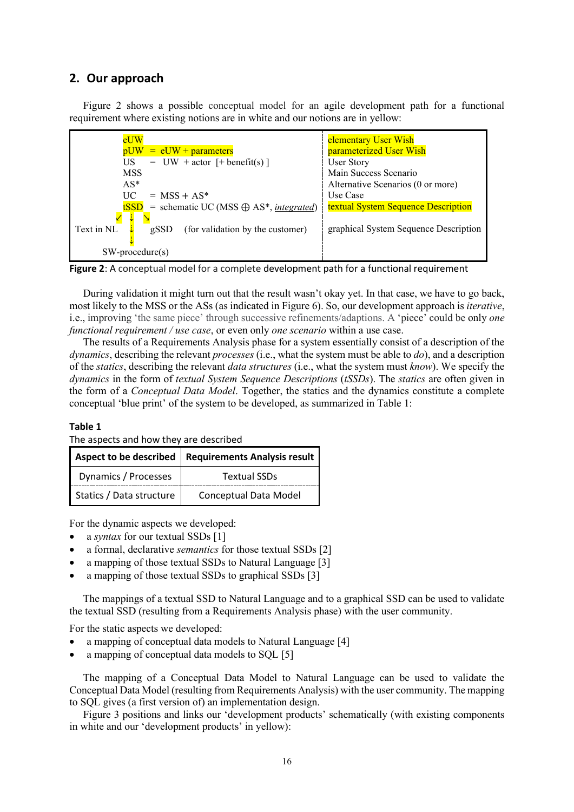### **2. Our approach**

Figure 2 shows a possible conceptual model for an agile development path for a functional requirement where existing notions are in white and our notions are in yellow:

| eUW                                                                | elementary User Wish                  |
|--------------------------------------------------------------------|---------------------------------------|
| $pUW = eUW + parameters$                                           | parameterized User Wish               |
| $=$ UW + actor [+ benefit(s)]<br>US                                | User Story                            |
| <b>MSS</b>                                                         | Main Success Scenario                 |
| $AS^*$                                                             | Alternative Scenarios (0 or more)     |
| $=$ MSS + AS*<br>UC                                                | Use Case                              |
| = schematic UC (MSS $\oplus$ AS <sup>*</sup> , integrated)<br>tSSD | textual System Sequence Description   |
| Text in NL<br>(for validation by the customer)<br>gSSD             | graphical System Sequence Description |
| $SW\text{-procedure}(s)$                                           |                                       |

**Figure 2**: A conceptual model for a complete development path for a functional requirement

During validation it might turn out that the result wasn't okay yet. In that case, we have to go back, most likely to the MSS or the ASs (as indicated in Figure 6). So, our development approach is *iterative*, i.e., improving 'the same piece' through successive refinements/adaptions. A 'piece' could be only *one functional requirement / use case*, or even only *one scenario* within a use case.

The results of a Requirements Analysis phase for a system essentially consist of a description of the *dynamics*, describing the relevant *processes* (i.e., what the system must be able to *do*), and a description of the *statics*, describing the relevant *data structures* (i.e., what the system must *know*). We specify the *dynamics* in the form of *textual System Sequence Descriptions* (*tSSDs*). The *statics* are often given in the form of a *Conceptual Data Model*. Together, the statics and the dynamics constitute a complete conceptual 'blue print' of the system to be developed, as summarized in Table 1:

#### **Table 1**

The aspects and how they are described

| Aspect to be described   | <b>Requirements Analysis result</b> |
|--------------------------|-------------------------------------|
| Dynamics / Processes     | <b>Textual SSDs</b>                 |
| Statics / Data structure | <b>Conceptual Data Model</b>        |

For the dynamic aspects we developed:

- a *syntax* for our textual SSDs [1]
- a formal, declarative *semantics* for those textual SSDs [2]
- a mapping of those textual SSDs to Natural Language [3]
- a mapping of those textual SSDs to graphical SSDs [3]

The mappings of a textual SSD to Natural Language and to a graphical SSD can be used to validate the textual SSD (resulting from a Requirements Analysis phase) with the user community.

For the static aspects we developed:

- a mapping of conceptual data models to Natural Language [4]
- a mapping of conceptual data models to SOL [5]

The mapping of a Conceptual Data Model to Natural Language can be used to validate the Conceptual Data Model (resulting from Requirements Analysis) with the user community. The mapping to SQL gives (a first version of) an implementation design.

Figure 3 positions and links our 'development products' schematically (with existing components in white and our 'development products' in yellow):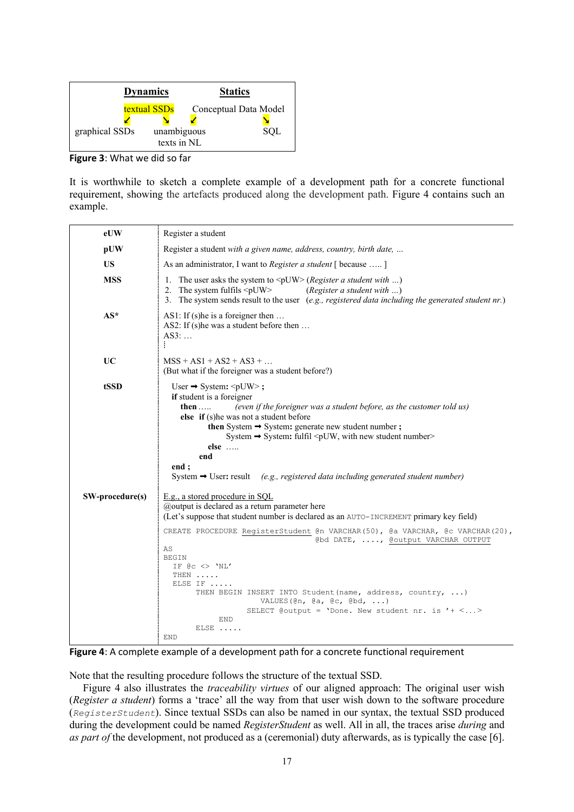

**Figure 3**: What we did so far

It is worthwhile to sketch a complete example of a development path for a concrete functional requirement, showing the artefacts produced along the development path. Figure 4 contains such an example.

| eUW             | Register a student                                                                                                                                                                                                                                                                                                                                                                                                                                                                                                                                                                                      |
|-----------------|---------------------------------------------------------------------------------------------------------------------------------------------------------------------------------------------------------------------------------------------------------------------------------------------------------------------------------------------------------------------------------------------------------------------------------------------------------------------------------------------------------------------------------------------------------------------------------------------------------|
| pUW             | Register a student with a given name, address, country, birth date,                                                                                                                                                                                                                                                                                                                                                                                                                                                                                                                                     |
| <b>US</b>       | As an administrator, I want to <i>Register a student</i> [ because  ]                                                                                                                                                                                                                                                                                                                                                                                                                                                                                                                                   |
| <b>MSS</b>      | The user asks the system to $\langle$ pUW $\rangle$ ( <i>Register a student with</i> )<br>1.<br>2. The system fulfils $\langle pUV \rangle$<br>$( Register\ a\ student\ with\ )$<br>3. The system sends result to the user $(e.g., registered data including the generated student nr.)$                                                                                                                                                                                                                                                                                                                |
| $AS^*$          | AS1: If (s) he is a foreigner then $\dots$<br>AS2: If (s) he was a student before then<br>AS3:<br>÷                                                                                                                                                                                                                                                                                                                                                                                                                                                                                                     |
| UC              | $MSS + AS1 + AS2 + AS3 + $<br>(But what if the foreigner was a student before?)                                                                                                                                                                                                                                                                                                                                                                                                                                                                                                                         |
| tSSD            | User $\rightarrow$ System: $\langle$ pUW>;<br>if student is a foreigner<br>then $\dots$<br>(even if the foreigner was a student before, as the customer told us)<br>else if (s) he was not a student before<br>then System $\rightarrow$ System: generate new student number;<br>System $\rightarrow$ System: fulfil <puw, new="" number="" student="" with=""><br/>else <br/>end<br/>end:<br/>System <math>\rightarrow</math> User: result (e.g., registered data including generated student number)</puw,>                                                                                           |
| SW-procedure(s) | E.g., a stored procedure in SQL<br>@output is declared as a return parameter here<br>(Let's suppose that student number is declared as an AUTO-INCREMENT primary key field)<br>CREATE PROCEDURE RegisterStudent @n VARCHAR(50), @a VARCHAR, @c VARCHAR(20),<br>@bd DATE, , @output VARCHAR OUTPUT<br>AS<br><b>BEGIN</b><br>IF $@c \iff 'NL'$<br>THEN<br>$\sim$<br>ELSE IF<br>THEN BEGIN INSERT INTO Student (name, address, country, )<br>VALUES $(\mathbb{R}^n, \mathbb{R}^n, \mathbb{R}^n, \mathbb{R}^n)$<br>SELECT @output = 'Done. New student nr. is $1 + 5$<br><b>END</b><br>$ELSE$<br><b>END</b> |



Note that the resulting procedure follows the structure of the textual SSD.

Figure 4 also illustrates the *traceability virtues* of our aligned approach: The original user wish (*Register a student*) forms a 'trace' all the way from that user wish down to the software procedure (*RegisterStudent*). Since textual SSDs can also be named in our syntax, the textual SSD produced during the development could be named *RegisterStudent* as well. All in all, the traces arise *during* and *as part of* the development, not produced as a (ceremonial) duty afterwards, as is typically the case [6].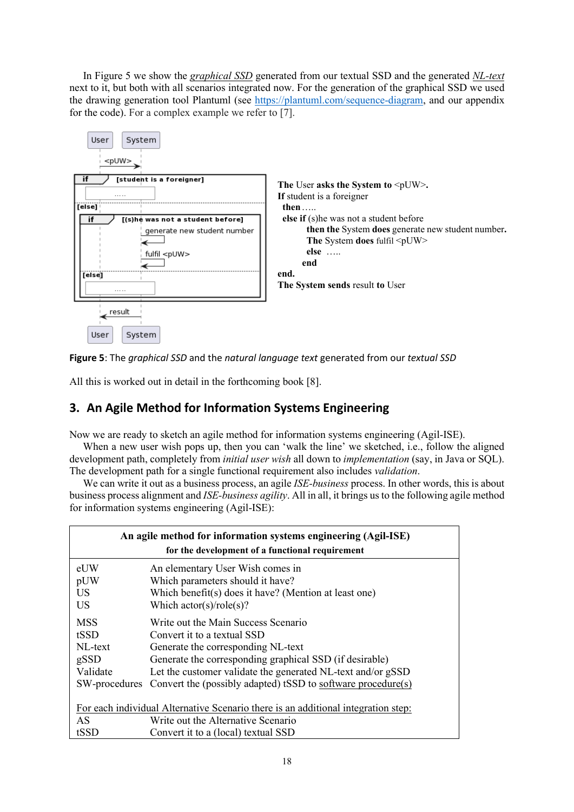In Figure 5 we show the *graphical SSD* generated from our textual SSD and the generated *NL-text* next to it, but both with all scenarios integrated now. For the generation of the graphical SSD we used the drawing generation tool Plantuml (see [https://plantuml.com/sequence-diagram,](https://plantuml.com/sequence-diagram) and our appendix for the code). For a complex example we refer to [7].



**Figure 5**: The *graphical SSD* and the *natural language text* generated from our *textual SSD*

All this is worked out in detail in the forthcoming book [8].

# **3. An Agile Method for Information Systems Engineering**

Now we are ready to sketch an agile method for information systems engineering (Agil-ISE).

When a new user wish pops up, then you can 'walk the line' we sketched, i.e., follow the aligned development path, completely from *initial user wish* all down to *implementation* (say, in Java or SQL). The development path for a single functional requirement also includes *validation*.

We can write it out as a business process, an agile *ISE-business* process. In other words, this is about business process alignment and *ISE-business agility*. All in all, it brings us to the following agile method for information systems engineering (Agil-ISE):

| An agile method for information systems engineering (Agil-ISE)<br>for the development of a functional requirement |                                                                            |  |
|-------------------------------------------------------------------------------------------------------------------|----------------------------------------------------------------------------|--|
| eUW                                                                                                               | An elementary User Wish comes in                                           |  |
| pUW                                                                                                               | Which parameters should it have?                                           |  |
| <b>US</b>                                                                                                         | Which benefit(s) does it have? (Mention at least one)                      |  |
| <b>US</b>                                                                                                         | Which $actor(s)/role(s)$ ?                                                 |  |
| <b>MSS</b>                                                                                                        | Write out the Main Success Scenario                                        |  |
| tSSD                                                                                                              | Convert it to a textual SSD                                                |  |
| NL-text                                                                                                           | Generate the corresponding NL-text                                         |  |
| gSSD                                                                                                              | Generate the corresponding graphical SSD (if desirable)                    |  |
| Validate                                                                                                          | Let the customer validate the generated NL-text and/or gSSD                |  |
|                                                                                                                   | SW-procedures Convert the (possibly adapted) tSSD to software procedure(s) |  |
| For each individual Alternative Scenario there is an additional integration step:                                 |                                                                            |  |
| AS                                                                                                                | Write out the Alternative Scenario                                         |  |
| tSSD                                                                                                              | Convert it to a (local) textual SSD                                        |  |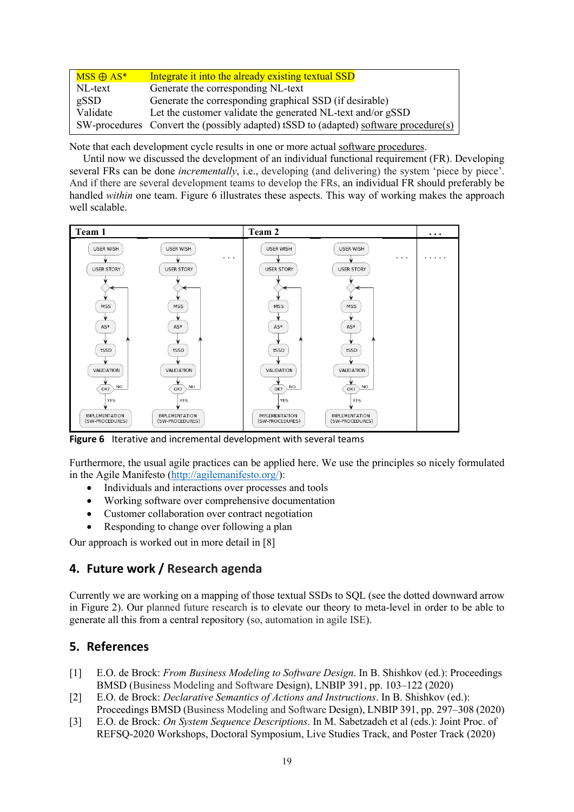| $\overline{\text{MSS} \oplus \text{AS*}}$ | Integrate it into the already existing textual SSD                                   |
|-------------------------------------------|--------------------------------------------------------------------------------------|
| NL-text                                   | Generate the corresponding NL-text                                                   |
| gSSD                                      | Generate the corresponding graphical SSD (if desirable)                              |
| Validate                                  | Let the customer validate the generated NL-text and/or gSSD                          |
|                                           | SW-procedures Convert the (possibly adapted) tSSD to (adapted) software procedure(s) |

Note that each development cycle results in one or more actual software procedures.

Until now we discussed the development of an individual functional requirement (FR). Developing several FRs can be done *incrementally*, i.e., developing (and delivering) the system 'piece by piece'. And if there are several development teams to develop the FRs, an individual FR should preferably be handled *within* one team. Figure 6 illustrates these aspects. This way of working makes the approach well scalable.



**Figure 6** Iterative and incremental development with several teams

Furthermore, the usual agile practices can be applied here. We use the principles so nicely formulated in the Agile Manifesto [\(http://agilemanifesto.org/\)](http://agilemanifesto.org/):

- Individuals and interactions over processes and tools
- Working software over comprehensive documentation
- Customer collaboration over contract negotiation
- Responding to change over following a plan

Our approach is worked out in more detail in [8]

# **4. Future work / Research agenda**

Currently we are working on a mapping of those textual SSDs to SQL (see the dotted downward arrow in Figure 2). Our planned future research is to elevate our theory to meta-level in order to be able to generate all this from a central repository (so, automation in agile ISE).

# **5. References**

- [1] E.O. de Brock: *From Business Modeling to Software Design*. In B. Shishkov (ed.): Proceedings BMSD (Business Modeling and Software Design), LNBIP 391, pp. 103–122 (2020)
- [2] E.O. de Brock: *Declarative Semantics of Actions and Instructions*. In B. Shishkov (ed.): Proceedings BMSD (Business Modeling and Software Design), LNBIP 391, pp. 297–308 (2020)
- [3] E.O. de Brock: *On System Sequence Descriptions*. In M. Sabetzadeh et al (eds.): Joint Proc. of REFSQ-2020 Workshops, Doctoral Symposium, Live Studies Track, and Poster Track (2020)